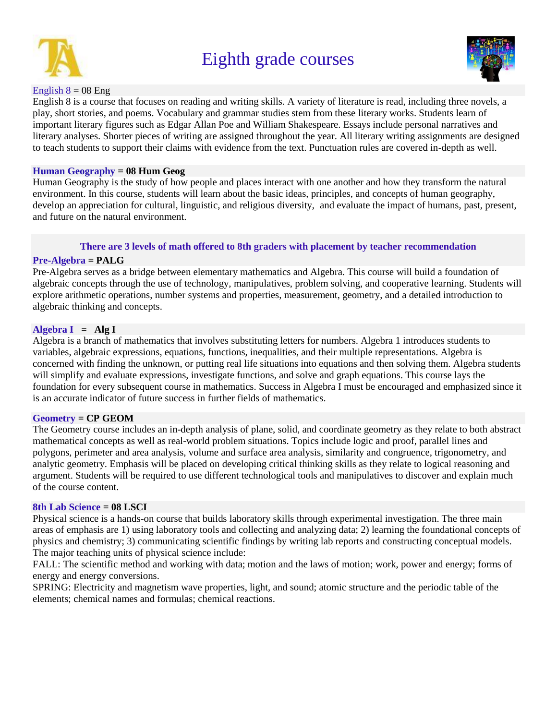

# Eighth grade courses



# English  $8 = 08$  Eng

English 8 is a course that focuses on reading and writing skills. A variety of literature is read, including three novels, a play, short stories, and poems. Vocabulary and grammar studies stem from these literary works. Students learn of important literary figures such as Edgar Allan Poe and William Shakespeare. Essays include personal narratives and literary analyses. Shorter pieces of writing are assigned throughout the year. All literary writing assignments are designed to teach students to support their claims with evidence from the text. Punctuation rules are covered in-depth as well.

# **Human Geography = 08 Hum Geog**

Human Geography is the study of how people and places interact with one another and how they transform the natural environment. In this course, students will learn about the basic ideas, principles, and concepts of human geography, develop an appreciation for cultural, linguistic, and religious diversity, and evaluate the impact of humans, past, present, and future on the natural environment.

# **There are 3 levels of math offered to 8th graders with placement by teacher recommendation**

# **Pre-Algebra = PALG**

Pre-Algebra serves as a bridge between elementary mathematics and Algebra. This course will build a foundation of algebraic concepts through the use of technology, manipulatives, problem solving, and cooperative learning. Students will explore arithmetic operations, number systems and properties, measurement, geometry, and a detailed introduction to algebraic thinking and concepts.

# **Algebra I = Alg I**

Algebra is a branch of mathematics that involves substituting letters for numbers. Algebra 1 introduces students to variables, algebraic expressions, equations, functions, inequalities, and their multiple representations. Algebra is concerned with finding the unknown, or putting real life situations into equations and then solving them. Algebra students will simplify and evaluate expressions, investigate functions, and solve and graph equations. This course lays the foundation for every subsequent course in mathematics. Success in Algebra I must be encouraged and emphasized since it is an accurate indicator of future success in further fields of mathematics.

### **Geometry = CP GEOM**

The Geometry course includes an in-depth analysis of plane, solid, and coordinate geometry as they relate to both abstract mathematical concepts as well as real-world problem situations. Topics include logic and proof, parallel lines and polygons, perimeter and area analysis, volume and surface area analysis, similarity and congruence, trigonometry, and analytic geometry. Emphasis will be placed on developing critical thinking skills as they relate to logical reasoning and argument. Students will be required to use different technological tools and manipulatives to discover and explain much of the course content.

# **8th Lab Science = 08 LSCI**

Physical science is a hands-on course that builds laboratory skills through experimental investigation. The three main areas of emphasis are 1) using laboratory tools and collecting and analyzing data; 2) learning the foundational concepts of physics and chemistry; 3) communicating scientific findings by writing lab reports and constructing conceptual models. The major teaching units of physical science include:

FALL: The scientific method and working with data; motion and the laws of motion; work, power and energy; forms of energy and energy conversions.

SPRING: Electricity and magnetism wave properties, light, and sound; atomic structure and the periodic table of the elements; chemical names and formulas; chemical reactions.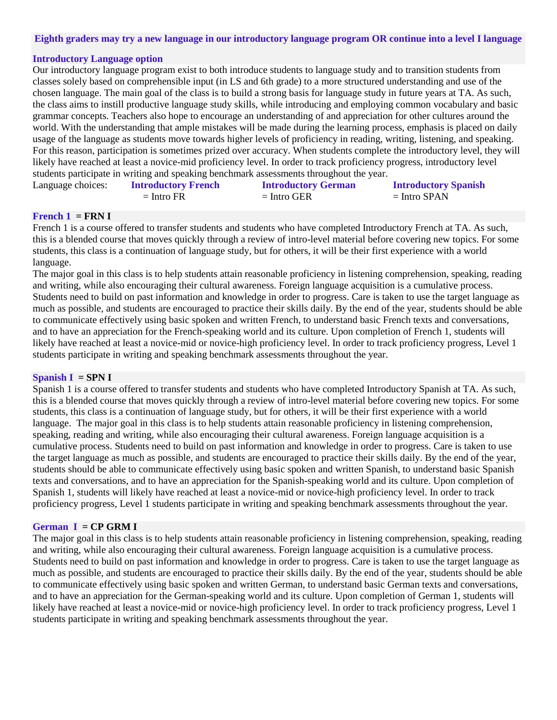### **Eighth graders may try a new language in our introductory language program OR continue into a level I language**

### **Introductory Language option**

Our introductory language program exist to both introduce students to language study and to transition students from classes solely based on comprehensible input (in LS and 6th grade) to a more structured understanding and use of the chosen language. The main goal of the class is to build a strong basis for language study in future years at TA. As such, the class aims to instill productive language study skills, while introducing and employing common vocabulary and basic grammar concepts. Teachers also hope to encourage an understanding of and appreciation for other cultures around the world. With the understanding that ample mistakes will be made during the learning process, emphasis is placed on daily usage of the language as students move towards higher levels of proficiency in reading, writing, listening, and speaking. For this reason, participation is sometimes prized over accuracy. When students complete the introductory level, they will likely have reached at least a novice-mid proficiency level. In order to track proficiency progress, introductory level students participate in writing and speaking benchmark assessments throughout the year. Language choices:

| ge choices: | <b>Introductory French</b> | <b>Introductory German</b> | <b>Introductory Spanish</b> |
|-------------|----------------------------|----------------------------|-----------------------------|
|             | $=$ Intro FR               | $=$ Intro GER              | $=$ Intro SPAN              |

#### **French**  $1 = \text{FRN}$  **I**

French 1 is a course offered to transfer students and students who have completed Introductory French at TA. As such, this is a blended course that moves quickly through a review of intro-level material before covering new topics. For some students, this class is a continuation of language study, but for others, it will be their first experience with a world language.

The major goal in this class is to help students attain reasonable proficiency in listening comprehension, speaking, reading and writing, while also encouraging their cultural awareness. Foreign language acquisition is a cumulative process. Students need to build on past information and knowledge in order to progress. Care is taken to use the target language as much as possible, and students are encouraged to practice their skills daily. By the end of the year, students should be able to communicate effectively using basic spoken and written French, to understand basic French texts and conversations, and to have an appreciation for the French-speaking world and its culture. Upon completion of French 1, students will likely have reached at least a novice-mid or novice-high proficiency level. In order to track proficiency progress, Level 1 students participate in writing and speaking benchmark assessments throughout the year.

### **Spanish I = SPN I**

Spanish 1 is a course offered to transfer students and students who have completed Introductory Spanish at TA. As such, this is a blended course that moves quickly through a review of intro-level material before covering new topics. For some students, this class is a continuation of language study, but for others, it will be their first experience with a world language. The major goal in this class is to help students attain reasonable proficiency in listening comprehension, speaking, reading and writing, while also encouraging their cultural awareness. Foreign language acquisition is a cumulative process. Students need to build on past information and knowledge in order to progress. Care is taken to use the target language as much as possible, and students are encouraged to practice their skills daily. By the end of the year, students should be able to communicate effectively using basic spoken and written Spanish, to understand basic Spanish texts and conversations, and to have an appreciation for the Spanish-speaking world and its culture. Upon completion of Spanish 1, students will likely have reached at least a novice-mid or novice-high proficiency level. In order to track proficiency progress, Level 1 students participate in writing and speaking benchmark assessments throughout the year.

# **German I = CP GRM I**

The major goal in this class is to help students attain reasonable proficiency in listening comprehension, speaking, reading and writing, while also encouraging their cultural awareness. Foreign language acquisition is a cumulative process. Students need to build on past information and knowledge in order to progress. Care is taken to use the target language as much as possible, and students are encouraged to practice their skills daily. By the end of the year, students should be able to communicate effectively using basic spoken and written German, to understand basic German texts and conversations, and to have an appreciation for the German-speaking world and its culture. Upon completion of German 1, students will likely have reached at least a novice-mid or novice-high proficiency level. In order to track proficiency progress, Level 1 students participate in writing and speaking benchmark assessments throughout the year.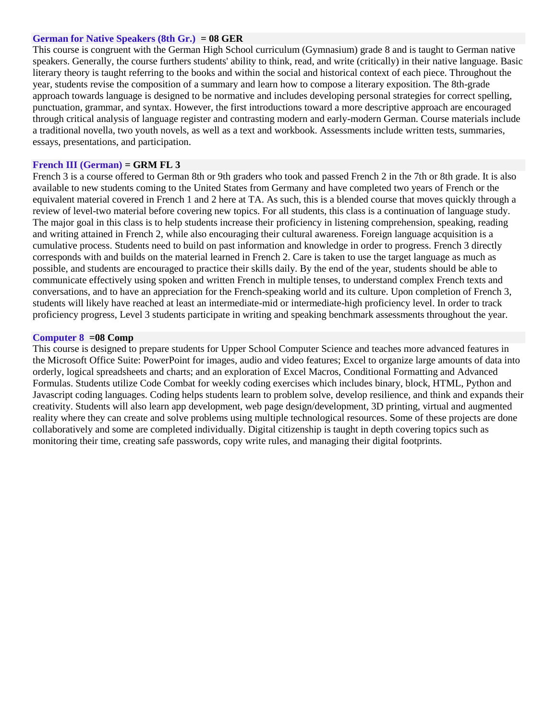### **German for Native Speakers (8th Gr.) = 08 GER**

This course is congruent with the German High School curriculum (Gymnasium) grade 8 and is taught to German native speakers. Generally, the course furthers students' ability to think, read, and write (critically) in their native language. Basic literary theory is taught referring to the books and within the social and historical context of each piece. Throughout the year, students revise the composition of a summary and learn how to compose a literary exposition. The 8th-grade approach towards language is designed to be normative and includes developing personal strategies for correct spelling, punctuation, grammar, and syntax. However, the first introductions toward a more descriptive approach are encouraged through critical analysis of language register and contrasting modern and early-modern German. Course materials include a traditional novella, two youth novels, as well as a text and workbook. Assessments include written tests, summaries, essays, presentations, and participation.

# **French III (German) = GRM FL 3**

French 3 is a course offered to German 8th or 9th graders who took and passed French 2 in the 7th or 8th grade. It is also available to new students coming to the United States from Germany and have completed two years of French or the equivalent material covered in French 1 and 2 here at TA. As such, this is a blended course that moves quickly through a review of level-two material before covering new topics. For all students, this class is a continuation of language study. The major goal in this class is to help students increase their proficiency in listening comprehension, speaking, reading and writing attained in French 2, while also encouraging their cultural awareness. Foreign language acquisition is a cumulative process. Students need to build on past information and knowledge in order to progress. French 3 directly corresponds with and builds on the material learned in French 2. Care is taken to use the target language as much as possible, and students are encouraged to practice their skills daily. By the end of the year, students should be able to communicate effectively using spoken and written French in multiple tenses, to understand complex French texts and conversations, and to have an appreciation for the French-speaking world and its culture. Upon completion of French 3, students will likely have reached at least an intermediate-mid or intermediate-high proficiency level. In order to track proficiency progress, Level 3 students participate in writing and speaking benchmark assessments throughout the year.

### **Computer 8 =08 Comp**

This course is designed to prepare students for Upper School Computer Science and teaches more advanced features in the Microsoft Office Suite: PowerPoint for images, audio and video features; Excel to organize large amounts of data into orderly, logical spreadsheets and charts; and an exploration of Excel Macros, Conditional Formatting and Advanced Formulas. Students utilize Code Combat for weekly coding exercises which includes binary, block, HTML, Python and Javascript coding languages. Coding helps students learn to problem solve, develop resilience, and think and expands their creativity. Students will also learn app development, web page design/development, 3D printing, virtual and augmented reality where they can create and solve problems using multiple technological resources. Some of these projects are done collaboratively and some are completed individually. Digital citizenship is taught in depth covering topics such as monitoring their time, creating safe passwords, copy write rules, and managing their digital footprints.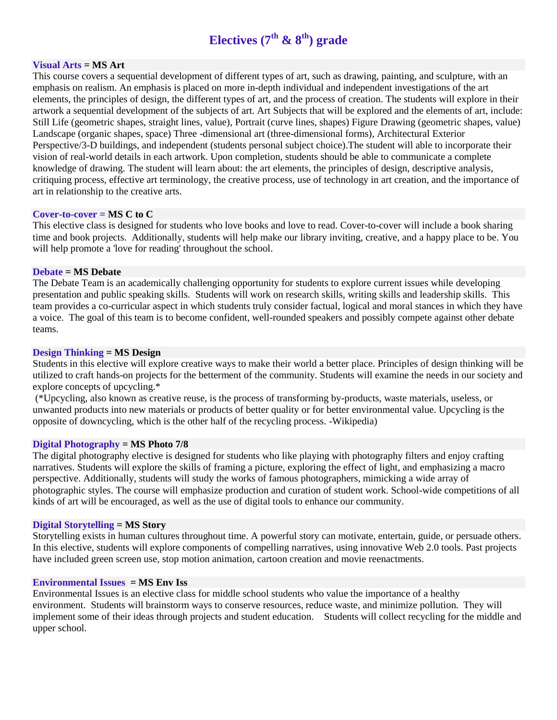# **Electives (7th & 8th) grade**

# **Visual Arts = MS Art**

This course covers a sequential development of different types of art, such as drawing, painting, and sculpture, with an emphasis on realism. An emphasis is placed on more in-depth individual and independent investigations of the art elements, the principles of design, the different types of art, and the process of creation. The students will explore in their artwork a sequential development of the subjects of art. Art Subjects that will be explored and the elements of art, include: Still Life (geometric shapes, straight lines, value), Portrait (curve lines, shapes) Figure Drawing (geometric shapes, value) Landscape (organic shapes, space) Three -dimensional art (three-dimensional forms), Architectural Exterior Perspective/3-D buildings, and independent (students personal subject choice).The student will able to incorporate their vision of real-world details in each artwork. Upon completion, students should be able to communicate a complete knowledge of drawing. The student will learn about: the art elements, the principles of design, descriptive analysis, critiquing process, effective art terminology, the creative process, use of technology in art creation, and the importance of art in relationship to the creative arts.

### **Cover-to-cover = MS C to C**

This elective class is designed for students who love books and love to read. Cover-to-cover will include a book sharing time and book projects. Additionally, students will help make our library inviting, creative, and a happy place to be. You will help promote a 'love for reading' throughout the school.

### **Debate = MS Debate**

The Debate Team is an academically challenging opportunity for students to explore current issues while developing presentation and public speaking skills. Students will work on research skills, writing skills and leadership skills. This team provides a co-curricular aspect in which students truly consider factual, logical and moral stances in which they have a voice. The goal of this team is to become confident, well-rounded speakers and possibly compete against other debate teams.

### **Design Thinking = MS Design**

Students in this elective will explore creative ways to make their world a better place. Principles of design thinking will be utilized to craft hands-on projects for the betterment of the community. Students will examine the needs in our society and explore concepts of upcycling.\*

(\*Upcycling, also known as creative reuse, is the process of transforming by-products, waste materials, useless, or unwanted products into new materials or products of better quality or for better environmental value. Upcycling is the opposite of downcycling, which is the other half of the recycling process. -Wikipedia)

### **Digital Photography = MS Photo 7/8**

The digital photography elective is designed for students who like playing with photography filters and enjoy crafting narratives. Students will explore the skills of framing a picture, exploring the effect of light, and emphasizing a macro perspective. Additionally, students will study the works of famous photographers, mimicking a wide array of photographic styles. The course will emphasize production and curation of student work. School-wide competitions of all kinds of art will be encouraged, as well as the use of digital tools to enhance our community.

# **Digital Storytelling = MS Story**

Storytelling exists in human cultures throughout time. A powerful story can motivate, entertain, guide, or persuade others. In this elective, students will explore components of compelling narratives, using innovative Web 2.0 tools. Past projects have included green screen use, stop motion animation, cartoon creation and movie reenactments.

### **Environmental Issues = MS Env Iss**

Environmental Issues is an elective class for middle school students who value the importance of a healthy environment. Students will brainstorm ways to conserve resources, reduce waste, and minimize pollution. They will implement some of their ideas through projects and student education. Students will collect recycling for the middle and upper school.